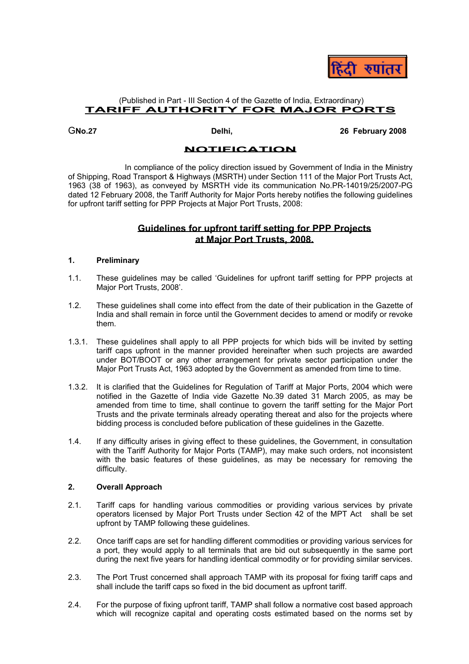

# (Published in Part - III Section 4 of the Gazette of India, Extraordinary) **TARIFF AUTHORITY FOR MAJOR PORTS**

G**No.27 Delhi, 26 February 2008** 

# **NOTIFICATION**

In compliance of the policy direction issued by Government of India in the Ministry of Shipping, Road Transport & Highways (MSRTH) under Section 111 of the Major Port Trusts Act, 1963 (38 of 1963), as conveyed by MSRTH vide its communication No.PR-14019/25/2007-PG dated 12 February 2008, the Tariff Authority for Major Ports hereby notifies the following guidelines for upfront tariff setting for PPP Projects at Major Port Trusts, 2008:

# **Guidelines for upfront tariff setting for PPP Projects at Major Port Trusts, 2008.**

# **1. Preliminary**

- 1.1. These guidelines may be called 'Guidelines for upfront tariff setting for PPP projects at Major Port Trusts, 2008'.
- 1.2. These guidelines shall come into effect from the date of their publication in the Gazette of India and shall remain in force until the Government decides to amend or modify or revoke them.
- 1.3.1. These guidelines shall apply to all PPP projects for which bids will be invited by setting tariff caps upfront in the manner provided hereinafter when such projects are awarded under BOT/BOOT or any other arrangement for private sector participation under the Major Port Trusts Act, 1963 adopted by the Government as amended from time to time.
- 1.3.2. It is clarified that the Guidelines for Regulation of Tariff at Major Ports, 2004 which were notified in the Gazette of India vide Gazette No.39 dated 31 March 2005, as may be amended from time to time, shall continue to govern the tariff setting for the Major Port Trusts and the private terminals already operating thereat and also for the projects where bidding process is concluded before publication of these guidelines in the Gazette.
- 1.4. If any difficulty arises in giving effect to these guidelines, the Government, in consultation with the Tariff Authority for Major Ports (TAMP), may make such orders, not inconsistent with the basic features of these guidelines, as may be necessary for removing the difficulty.

# **2. Overall Approach**

- 2.1. Tariff caps for handling various commodities or providing various services by private operators licensed by Major Port Trusts under Section 42 of the MPT Act shall be set upfront by TAMP following these guidelines.
- 2.2. Once tariff caps are set for handling different commodities or providing various services for a port, they would apply to all terminals that are bid out subsequently in the same port during the next five years for handling identical commodity or for providing similar services.
- 2.3. The Port Trust concerned shall approach TAMP with its proposal for fixing tariff caps and shall include the tariff caps so fixed in the bid document as upfront tariff.
- 2.4. For the purpose of fixing upfront tariff, TAMP shall follow a normative cost based approach which will recognize capital and operating costs estimated based on the norms set by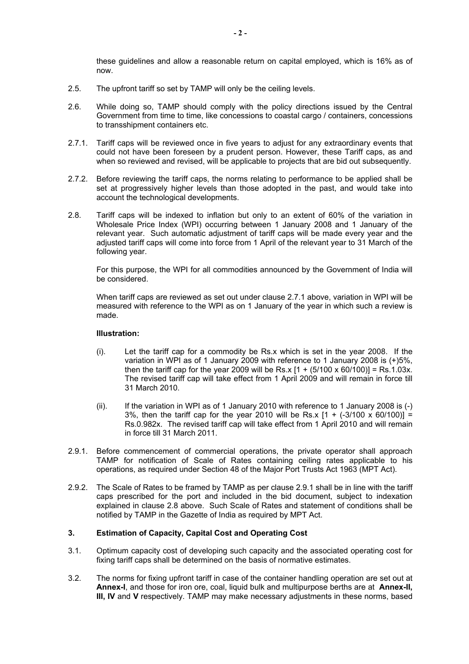these guidelines and allow a reasonable return on capital employed, which is 16% as of now.

- 2.5. The upfront tariff so set by TAMP will only be the ceiling levels.
- 2.6. While doing so, TAMP should comply with the policy directions issued by the Central Government from time to time, like concessions to coastal cargo / containers, concessions to transshipment containers etc.
- 2.7.1. Tariff caps will be reviewed once in five years to adjust for any extraordinary events that could not have been foreseen by a prudent person. However, these Tariff caps, as and when so reviewed and revised, will be applicable to projects that are bid out subsequently.
- 2.7.2. Before reviewing the tariff caps, the norms relating to performance to be applied shall be set at progressively higher levels than those adopted in the past, and would take into account the technological developments.
- 2.8. Tariff caps will be indexed to inflation but only to an extent of 60% of the variation in Wholesale Price Index (WPI) occurring between 1 January 2008 and 1 January of the relevant year. Such automatic adjustment of tariff caps will be made every year and the adjusted tariff caps will come into force from 1 April of the relevant year to 31 March of the following year.

For this purpose, the WPI for all commodities announced by the Government of India will be considered.

When tariff caps are reviewed as set out under clause 2.7.1 above, variation in WPI will be measured with reference to the WPI as on 1 January of the year in which such a review is made.

### **Illustration:**

- (i). Let the tariff cap for a commodity be Rs.x which is set in the year 2008. If the variation in WPI as of 1 January 2009 with reference to 1 January 2008 is (+)5%, then the tariff cap for the year 2009 will be Rs.x  $[1 + (5/100 \times 60/100)] = Rs.1.03x$ . The revised tariff cap will take effect from 1 April 2009 and will remain in force till 31 March 2010.
- (ii). If the variation in WPI as of 1 January 2010 with reference to 1 January 2008 is (-) 3%, then the tariff cap for the year 2010 will be Rs.x  $[1 + (-3/100 \times 60/100)] =$ Rs.0.982x. The revised tariff cap will take effect from 1 April 2010 and will remain in force till 31 March 2011.
- 2.9.1. Before commencement of commercial operations, the private operator shall approach TAMP for notification of Scale of Rates containing ceiling rates applicable to his operations, as required under Section 48 of the Major Port Trusts Act 1963 (MPT Act).
- 2.9.2. The Scale of Rates to be framed by TAMP as per clause 2.9.1 shall be in line with the tariff caps prescribed for the port and included in the bid document, subject to indexation explained in clause 2.8 above. Such Scale of Rates and statement of conditions shall be notified by TAMP in the Gazette of India as required by MPT Act.

# **3. Estimation of Capacity, Capital Cost and Operating Cost**

- 3.1. Optimum capacity cost of developing such capacity and the associated operating cost for fixing tariff caps shall be determined on the basis of normative estimates.
- 3.2. The norms for fixing upfront tariff in case of the container handling operation are set out at **Annex-I**, and those for iron ore, coal, liquid bulk and multipurpose berths are at **Annex-II, III, IV** and **V** respectively. TAMP may make necessary adjustments in these norms, based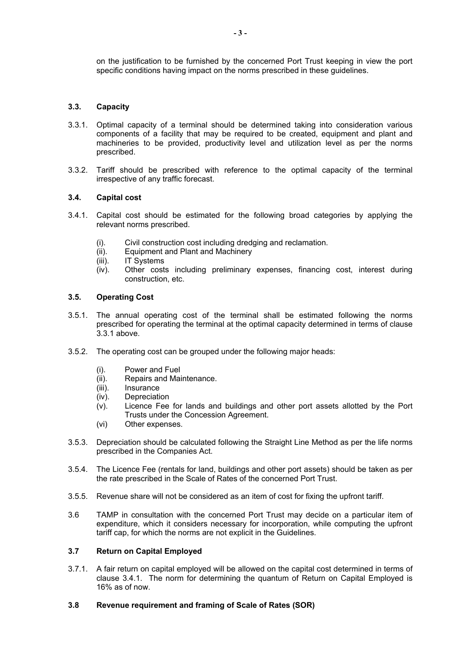on the justification to be furnished by the concerned Port Trust keeping in view the port specific conditions having impact on the norms prescribed in these guidelines.

# **3.3. Capacity**

- 3.3.1. Optimal capacity of a terminal should be determined taking into consideration various components of a facility that may be required to be created, equipment and plant and machineries to be provided, productivity level and utilization level as per the norms prescribed.
- 3.3.2. Tariff should be prescribed with reference to the optimal capacity of the terminal irrespective of any traffic forecast.

# **3.4. Capital cost**

- 3.4.1. Capital cost should be estimated for the following broad categories by applying the relevant norms prescribed.
	- (i). Civil construction cost including dredging and reclamation.
	- (ii). Equipment and Plant and Machinery
	- (iii). IT Systems
	- (iv). Other costs including preliminary expenses, financing cost, interest during construction, etc.

# **3.5. Operating Cost**

- 3.5.1. The annual operating cost of the terminal shall be estimated following the norms prescribed for operating the terminal at the optimal capacity determined in terms of clause 3.3.1 above.
- 3.5.2. The operating cost can be grouped under the following major heads:
	- (i). Power and Fuel
	- (ii). Repairs and Maintenance.<br>(iii). Insurance
	- **Insurance**
	- (iv). Depreciation
	- (v). Licence Fee for lands and buildings and other port assets allotted by the Port Trusts under the Concession Agreement.
	- (vi) Other expenses.
- 3.5.3. Depreciation should be calculated following the Straight Line Method as per the life norms prescribed in the Companies Act.
- 3.5.4. The Licence Fee (rentals for land, buildings and other port assets) should be taken as per the rate prescribed in the Scale of Rates of the concerned Port Trust.
- 3.5.5. Revenue share will not be considered as an item of cost for fixing the upfront tariff.
- 3.6 TAMP in consultation with the concerned Port Trust may decide on a particular item of expenditure, which it considers necessary for incorporation, while computing the upfront tariff cap, for which the norms are not explicit in the Guidelines.

# **3.7 Return on Capital Employed**

3.7.1. A fair return on capital employed will be allowed on the capital cost determined in terms of clause 3.4.1. The norm for determining the quantum of Return on Capital Employed is 16% as of now.

# **3.8 Revenue requirement and framing of Scale of Rates (SOR)**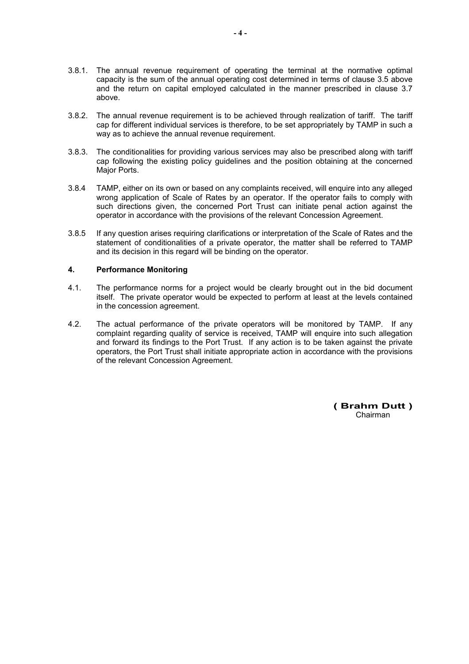- 3.8.1. The annual revenue requirement of operating the terminal at the normative optimal capacity is the sum of the annual operating cost determined in terms of clause 3.5 above and the return on capital employed calculated in the manner prescribed in clause 3.7 above.
- 3.8.2. The annual revenue requirement is to be achieved through realization of tariff. The tariff cap for different individual services is therefore, to be set appropriately by TAMP in such a way as to achieve the annual revenue requirement.
- 3.8.3. The conditionalities for providing various services may also be prescribed along with tariff cap following the existing policy guidelines and the position obtaining at the concerned Major Ports.
- 3.8.4 TAMP, either on its own or based on any complaints received, will enquire into any alleged wrong application of Scale of Rates by an operator. If the operator fails to comply with such directions given, the concerned Port Trust can initiate penal action against the operator in accordance with the provisions of the relevant Concession Agreement.
- 3.8.5 If any question arises requiring clarifications or interpretation of the Scale of Rates and the statement of conditionalities of a private operator, the matter shall be referred to TAMP and its decision in this regard will be binding on the operator.

# **4. Performance Monitoring**

- 4.1. The performance norms for a project would be clearly brought out in the bid document itself. The private operator would be expected to perform at least at the levels contained in the concession agreement.
- 4.2. The actual performance of the private operators will be monitored by TAMP. If any complaint regarding quality of service is received, TAMP will enquire into such allegation and forward its findings to the Port Trust. If any action is to be taken against the private operators, the Port Trust shall initiate appropriate action in accordance with the provisions of the relevant Concession Agreement.

**( Brahm Dutt )**  Chairman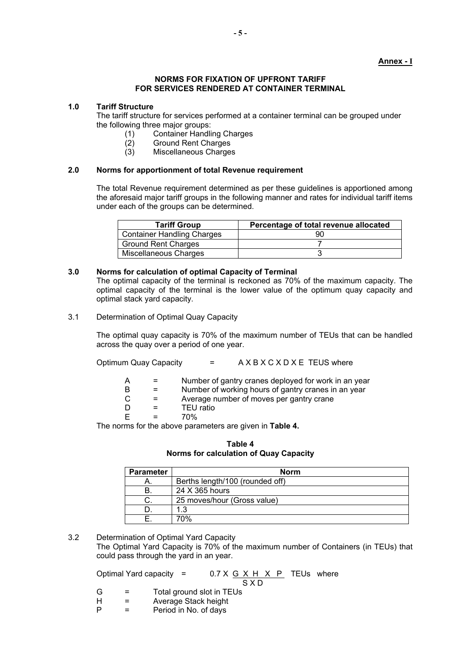# **Annex - I**

# **NORMS FOR FIXATION OF UPFRONT TARIFF FOR SERVICES RENDERED AT CONTAINER TERMINAL**

# **1.0 Tariff Structure**

The tariff structure for services performed at a container terminal can be grouped under the following three major groups:

- (1) Container Handling Charges
- Ground Rent Charges
- (3) Miscellaneous Charges

# **2.0 Norms for apportionment of total Revenue requirement**

The total Revenue requirement determined as per these guidelines is apportioned among the aforesaid major tariff groups in the following manner and rates for individual tariff items under each of the groups can be determined.

| <b>Tariff Group</b>               | Percentage of total revenue allocated |
|-----------------------------------|---------------------------------------|
| <b>Container Handling Charges</b> |                                       |
| <b>Ground Rent Charges</b>        |                                       |
| Miscellaneous Charges             |                                       |

# **3.0 Norms for calculation of optimal Capacity of Terminal**

The optimal capacity of the terminal is reckoned as 70% of the maximum capacity. The optimal capacity of the terminal is the lower value of the optimum quay capacity and optimal stack yard capacity.

3.1 Determination of Optimal Quay Capacity

The optimal quay capacity is 70% of the maximum number of TEUs that can be handled across the quay over a period of one year.

| <b>Optimum Quay Capacity</b> | A X B X C X D X E TEUS where |
|------------------------------|------------------------------|
|                              |                              |

| Number of gantry cranes deployed for work in an year |  |
|------------------------------------------------------|--|
|------------------------------------------------------|--|

- $B =$  Number of working hours of gantry cranes in an year
- $C =$  Average number of moves per gantry crane
- D = TEU ratio
- $E = 70%$

The norms for the above parameters are given in **Table 4.**

**Table 4 Norms for calculation of Quay Capacity** 

| <b>Parameter</b> | <b>Norm</b>                     |
|------------------|---------------------------------|
| Α.               | Berths length/100 (rounded off) |
| В.               | 24 X 365 hours                  |
| C.               | 25 moves/hour (Gross value)     |
|                  | 1.3                             |
|                  | 70%                             |

# 3.2 Determination of Optimal Yard Capacity

The Optimal Yard Capacity is 70% of the maximum number of Containers (in TEUs) that could pass through the yard in an year.

Optimal Yard capacity =  $0.7 \times G \times H \times P$  TEUs where

- S X D<br>G = Total ground slot in TEUs G = Total ground slot in TEUs<br>H = Average Stack height
- $H =$  Average Stack height<br>P = Period in No. of days
- = Period in No. of days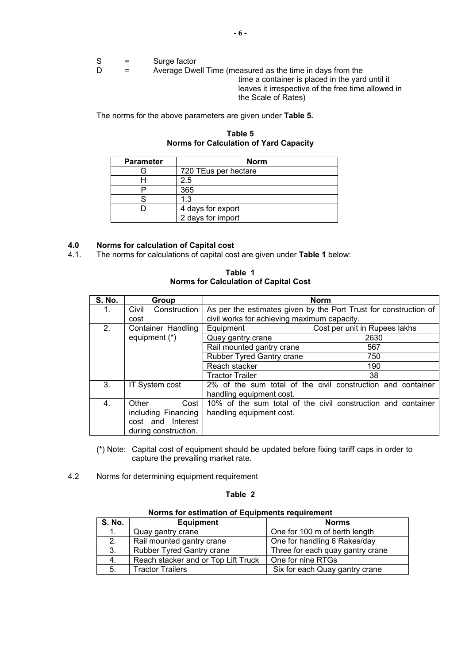|  | Surge factor |
|--|--------------|

D = Average Dwell Time (measured as the time in days from the time a container is placed in the yard until it leaves it irrespective of the free time allowed in the Scale of Rates)

The norms for the above parameters are given under **Table 5.** 

**Table 5 Norms for Calculation of Yard Capacity** 

| <b>Parameter</b> | <b>Norm</b>          |
|------------------|----------------------|
|                  | 720 TEus per hectare |
|                  | 2.5                  |
|                  | 365                  |
|                  | 1 3                  |
|                  | 4 days for export    |
|                  | 2 days for import    |

# **4.0 Norms for calculation of Capital cost**

4.1. The norms for calculations of capital cost are given under **Table 1** below:

**Table 1 Norms for Calculation of Capital Cost** 

| <b>S. No.</b>  | Group                 |                                             | <b>Norm</b>                                                      |
|----------------|-----------------------|---------------------------------------------|------------------------------------------------------------------|
| 1.             | Construction<br>Civil |                                             | As per the estimates given by the Port Trust for construction of |
|                | cost                  | civil works for achieving maximum capacity. |                                                                  |
| 2 <sub>1</sub> | Container Handling    | Equipment                                   | Cost per unit in Rupees lakhs                                    |
|                | equipment (*)         | Quay gantry crane                           | 2630                                                             |
|                |                       | Rail mounted gantry crane                   | 567                                                              |
|                |                       | <b>Rubber Tyred Gantry crane</b>            | 750                                                              |
|                |                       | Reach stacker                               | 190                                                              |
|                |                       | <b>Tractor Trailer</b>                      | 38                                                               |
| 3.             | <b>IT System cost</b> |                                             | 2% of the sum total of the civil construction and container      |
|                |                       | handling equipment cost.                    |                                                                  |
| 4.             | Other<br>Cost         |                                             | 10% of the sum total of the civil construction and container     |
|                | including Financing   | handling equipment cost.                    |                                                                  |
|                | Interest<br>cost and  |                                             |                                                                  |
|                | during construction.  |                                             |                                                                  |

(\*) Note: Capital cost of equipment should be updated before fixing tariff caps in order to capture the prevailing market rate.

4.2 Norms for determining equipment requirement

### **Table 2**

|               | <u>nomio ioi communon oi Equipmonto requirement</u> |                                  |  |
|---------------|-----------------------------------------------------|----------------------------------|--|
| <b>S. No.</b> | <b>Equipment</b>                                    | <b>Norms</b>                     |  |
| 1.            | Quay gantry crane                                   | One for 100 m of berth length    |  |
| 2.            | Rail mounted gantry crane                           | One for handling 6 Rakes/day     |  |
| 3.            | <b>Rubber Tyred Gantry crane</b>                    | Three for each quay gantry crane |  |
| 4.            | Reach stacker and or Top Lift Truck                 | One for nine RTGs                |  |
| 5.            | <b>Tractor Trailers</b>                             | Six for each Quay gantry crane   |  |

**Norms for estimation of Equipments requirement**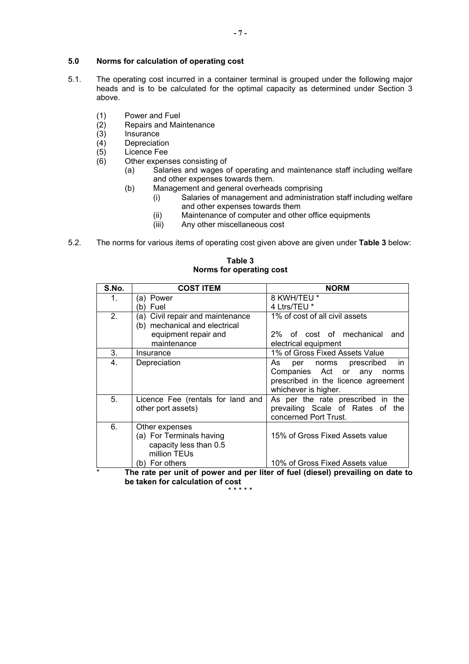# **5.0 Norms for calculation of operating cost**

- 5.1. The operating cost incurred in a container terminal is grouped under the following major heads and is to be calculated for the optimal capacity as determined under Section 3 above.
	- (1) Power and Fuel
	- $\overline{c}(2)$  Repairs and Maintenance<br>(3) Insurance
	- (3) Insurance<br>(4) Depreciation
	- **Depreciation**
	- $(5)$  Licence Fee
	- (6) Other expenses consisting of
		- (a) Salaries and wages of operating and maintenance staff including welfare and other expenses towards them.
		- (b) Management and general overheads comprising
			- (i) Salaries of management and administration staff including welfare and other expenses towards them
				- (ii) Maintenance of computer and other office equipments<br>(iii) Any other miscellaneous cost
				- Any other miscellaneous cost
- 5.2. The norms for various items of operating cost given above are given under **Table 3** below:

| 8 KWH/TEU *<br>$1_{-}$<br>(a) Power<br>4 Ltrs/TEU *<br>(b) Fuel<br>2.<br>1% of cost of all civil assets<br>(a) Civil repair and maintenance<br>(b) mechanical and electrical<br>equipment repair and<br>2% of cost of mechanical and<br>maintenance<br>electrical equipment<br>3.<br>1% of Gross Fixed Assets Value<br>Insurance<br>4.<br>Depreciation<br>As<br>per norms prescribed<br>in<br>Companies Act or any<br>norms<br>prescribed in the licence agreement<br>whichever is higher.<br>5.<br>As per the rate prescribed in the<br>Licence Fee (rentals for land and<br>other port assets)<br>prevailing Scale of Rates of the<br>concerned Port Trust.<br>6.<br>Other expenses<br>(a) For Terminals having<br>15% of Gross Fixed Assets value<br>capacity less than 0.5<br>million TEUs<br>10% of Gross Fixed Assets value<br>(b) For others | S.No.   | <b>COST ITEM</b> | <b>NORM</b> |
|-----------------------------------------------------------------------------------------------------------------------------------------------------------------------------------------------------------------------------------------------------------------------------------------------------------------------------------------------------------------------------------------------------------------------------------------------------------------------------------------------------------------------------------------------------------------------------------------------------------------------------------------------------------------------------------------------------------------------------------------------------------------------------------------------------------------------------------------------------|---------|------------------|-------------|
|                                                                                                                                                                                                                                                                                                                                                                                                                                                                                                                                                                                                                                                                                                                                                                                                                                                     |         |                  |             |
|                                                                                                                                                                                                                                                                                                                                                                                                                                                                                                                                                                                                                                                                                                                                                                                                                                                     |         |                  |             |
|                                                                                                                                                                                                                                                                                                                                                                                                                                                                                                                                                                                                                                                                                                                                                                                                                                                     |         |                  |             |
|                                                                                                                                                                                                                                                                                                                                                                                                                                                                                                                                                                                                                                                                                                                                                                                                                                                     |         |                  |             |
|                                                                                                                                                                                                                                                                                                                                                                                                                                                                                                                                                                                                                                                                                                                                                                                                                                                     |         |                  |             |
|                                                                                                                                                                                                                                                                                                                                                                                                                                                                                                                                                                                                                                                                                                                                                                                                                                                     |         |                  |             |
|                                                                                                                                                                                                                                                                                                                                                                                                                                                                                                                                                                                                                                                                                                                                                                                                                                                     |         |                  |             |
|                                                                                                                                                                                                                                                                                                                                                                                                                                                                                                                                                                                                                                                                                                                                                                                                                                                     |         |                  |             |
|                                                                                                                                                                                                                                                                                                                                                                                                                                                                                                                                                                                                                                                                                                                                                                                                                                                     |         |                  |             |
|                                                                                                                                                                                                                                                                                                                                                                                                                                                                                                                                                                                                                                                                                                                                                                                                                                                     |         |                  |             |
|                                                                                                                                                                                                                                                                                                                                                                                                                                                                                                                                                                                                                                                                                                                                                                                                                                                     |         |                  |             |
|                                                                                                                                                                                                                                                                                                                                                                                                                                                                                                                                                                                                                                                                                                                                                                                                                                                     |         |                  |             |
|                                                                                                                                                                                                                                                                                                                                                                                                                                                                                                                                                                                                                                                                                                                                                                                                                                                     |         |                  |             |
|                                                                                                                                                                                                                                                                                                                                                                                                                                                                                                                                                                                                                                                                                                                                                                                                                                                     |         |                  |             |
|                                                                                                                                                                                                                                                                                                                                                                                                                                                                                                                                                                                                                                                                                                                                                                                                                                                     |         |                  |             |
|                                                                                                                                                                                                                                                                                                                                                                                                                                                                                                                                                                                                                                                                                                                                                                                                                                                     |         |                  |             |
|                                                                                                                                                                                                                                                                                                                                                                                                                                                                                                                                                                                                                                                                                                                                                                                                                                                     |         |                  |             |
|                                                                                                                                                                                                                                                                                                                                                                                                                                                                                                                                                                                                                                                                                                                                                                                                                                                     |         |                  |             |
|                                                                                                                                                                                                                                                                                                                                                                                                                                                                                                                                                                                                                                                                                                                                                                                                                                                     | $\star$ |                  |             |

**Table 3 Norms for operating cost** 

\* **The rate per unit of power and per liter of fuel (diesel) prevailing on date to be taken for calculation of cost**  \* \* \* \* \*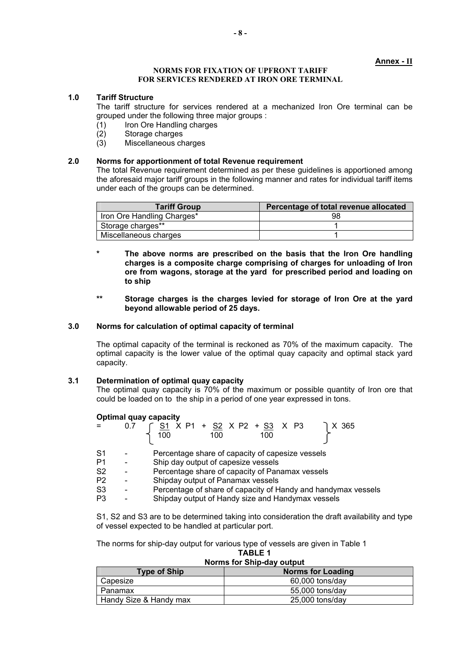#### **Annex - II**

#### **NORMS FOR FIXATION OF UPFRONT TARIFF FOR SERVICES RENDERED AT IRON ORE TERMINAL**

#### **1.0 Tariff Structure**

The tariff structure for services rendered at a mechanized Iron Ore terminal can be grouped under the following three major groups :

- $(1)$  Iron Ore Handling charges<br> $(2)$  Storage charges
- (2) Storage charges<br>(3) Miscellaneous ch
- Miscellaneous charges

# **2.0 Norms for apportionment of total Revenue requirement**

The total Revenue requirement determined as per these guidelines is apportioned among the aforesaid major tariff groups in the following manner and rates for individual tariff items under each of the groups can be determined.

| <b>Tariff Group</b>        | Percentage of total revenue allocated |
|----------------------------|---------------------------------------|
| Iron Ore Handling Charges* | 98                                    |
| Storage charges**          |                                       |
| Miscellaneous charges      |                                       |

- **\* The above norms are prescribed on the basis that the Iron Ore handling charges is a composite charge comprising of charges for unloading of Iron ore from wagons, storage at the yard for prescribed period and loading on to ship**
- **\*\* Storage charges is the charges levied for storage of Iron Ore at the yard beyond allowable period of 25 days.**

# **3.0 Norms for calculation of optimal capacity of terminal**

The optimal capacity of the terminal is reckoned as 70% of the maximum capacity. The optimal capacity is the lower value of the optimal quay capacity and optimal stack yard capacity.

#### **3.1 Determination of optimal quay capacity**

The optimal quay capacity is 70% of the maximum or possible quantity of Iron ore that could be loaded on to the ship in a period of one year expressed in tons.

#### **Optimal quay capacity**

| $=$            | 0.7 | 「 <u>S1</u> X P1 + <u>S2</u> X P2 + <u>S3</u> X P3<br>1 X 365<br>100<br>100<br>100 |
|----------------|-----|------------------------------------------------------------------------------------|
| S <sub>1</sub> |     | Percentage share of capacity of capesize vessels                                   |
| P <sub>1</sub> |     | Ship day output of capesize vessels                                                |
| S <sub>2</sub> |     | Percentage share of capacity of Panamax vessels                                    |
| P <sub>2</sub> |     | Shipday output of Panamax vessels                                                  |
| S <sub>3</sub> |     | Percentage of share of capacity of Handy and handymax vessels                      |
| P <sub>3</sub> |     | Shipday output of Handy size and Handymax vessels                                  |

S1, S2 and S3 are to be determined taking into consideration the draft availability and type of vessel expected to be handled at particular port.

The norms for ship-day output for various type of vessels are given in Table 1 **TABLE 1** 

# **Norms for Ship-day output**

| <b>Type of Ship</b>    | <b>Norms for Loading</b> |
|------------------------|--------------------------|
| Capesize               | 60,000 tons/day          |
| Panamax                | 55,000 tons/day          |
| Handy Size & Handy max | 25,000 tons/day          |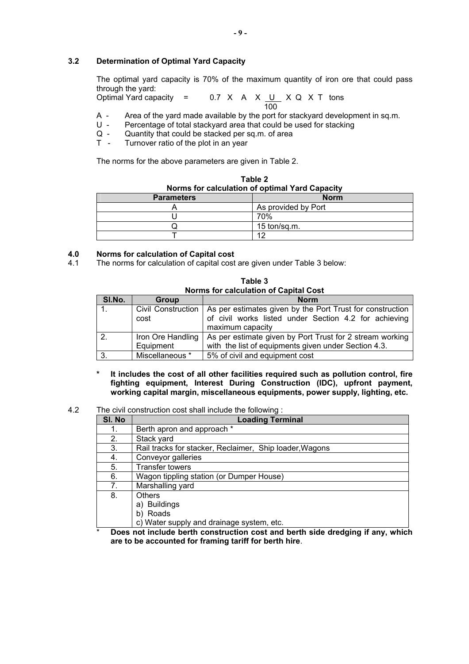# **3.2 Determination of Optimal Yard Capacity**

The optimal yard capacity is 70% of the maximum quantity of iron ore that could pass through the yard:

Optimal Yard capacity =  $0.7 \times A \times U \times Q \times T$  tons <u>100</u>

- A Area of the yard made available by the port for stackyard development in sq.m.
- U Percentage of total stackyard area that could be used for stacking<br>Q Quantity that could be stacked per sq.m. of area
- $Q -$  Quantity that could be stacked per sq.m. of area<br>  $T -$  Turnover ratio of the plot in an year
- Turnover ratio of the plot in an vear

The norms for the above parameters are given in Table 2.

| Norms for calculation of optimal Yard Capacity |                     |  |
|------------------------------------------------|---------------------|--|
| <b>Parameters</b>                              | <b>Norm</b>         |  |
|                                                | As provided by Port |  |
|                                                | 70%                 |  |
|                                                | 15 ton/sq.m.        |  |
|                                                | 10                  |  |

**Table 2** 

# **4.0 Norms for calculation of Capital cost**

4.1 The norms for calculation of capital cost are given under Table 3 below:

| <b>Norms for calculation of Capital Cost</b> |                                |                                                                                                                                                             |  |
|----------------------------------------------|--------------------------------|-------------------------------------------------------------------------------------------------------------------------------------------------------------|--|
| SI.No.                                       | Group                          | <b>Norm</b>                                                                                                                                                 |  |
|                                              | cost                           | Civil Construction   As per estimates given by the Port Trust for construction<br>of civil works listed under Section 4.2 for achieving<br>maximum capacity |  |
| $\overline{2}$ .                             | Iron Ore Handling<br>Equipment | As per estimate given by Port Trust for 2 stream working<br>with the list of equipments given under Section 4.3.                                            |  |
| -3.                                          | Miscellaneous *                | 5% of civil and equipment cost                                                                                                                              |  |

**Table 3** 

**\* It includes the cost of all other facilities required such as pollution control, fire fighting equipment, Interest During Construction (IDC), upfront payment, working capital margin, miscellaneous equipments, power supply, lighting, etc.** 

4.2 The civil construction cost shall include the following :

| SI. No | <b>Loading Terminal</b>                                 |  |
|--------|---------------------------------------------------------|--|
| 1.     | Berth apron and approach *                              |  |
| 2.     | Stack yard                                              |  |
| 3.     | Rail tracks for stacker, Reclaimer, Ship loader, Wagons |  |
| 4.     | Conveyor galleries                                      |  |
| 5.     | <b>Transfer towers</b>                                  |  |
| 6.     | Wagon tippling station (or Dumper House)                |  |
| 7.     | Marshalling yard                                        |  |
| 8.     | <b>Others</b>                                           |  |
|        | a) Buildings                                            |  |
|        | b) Roads                                                |  |
|        | c) Water supply and drainage system, etc.               |  |

\* **Does not include berth construction cost and berth side dredging if any, which are to be accounted for framing tariff for berth hire**.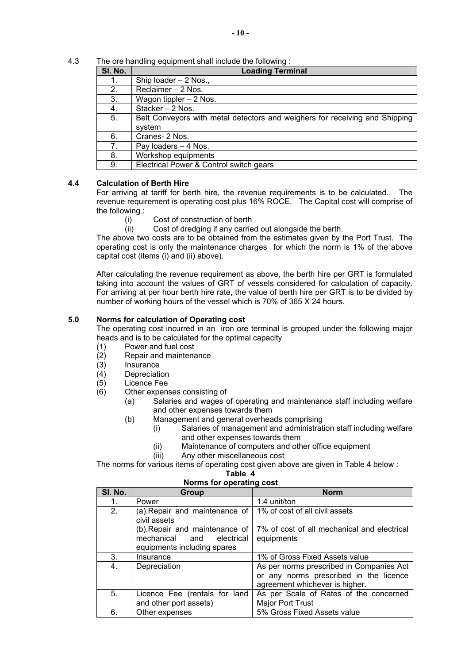4.3 The ore handling equipment shall include the following :

| SI. No. | <b>Loading Terminal</b>                                                               |  |
|---------|---------------------------------------------------------------------------------------|--|
| 1.      | Ship loader - 2 Nos.,                                                                 |  |
| 2.      | Reclaimer - 2 Nos.                                                                    |  |
| 3.      | Wagon tippler - 2 Nos.                                                                |  |
| 4.      | Stacker - 2 Nos.                                                                      |  |
| 5.      | Belt Conveyors with metal detectors and weighers for receiving and Shipping<br>system |  |
| 6.      | Cranes-2 Nos.                                                                         |  |
| 7.      | Pay loaders - 4 Nos.                                                                  |  |
| 8.      | Workshop equipments                                                                   |  |
| 9.      | Electrical Power & Control switch gears                                               |  |

# **4.4 Calculation of Berth Hire**

For arriving at tariff for berth hire, the revenue requirements is to be calculated. The revenue requirement is operating cost plus 16% ROCE. The Capital cost will comprise of the following :

- (i) Cost of construction of berth
- (ii) Cost of dredging if any carried out alongside the berth.

The above two costs are to be obtained from the estimates given by the Port Trust. The operating cost is only the maintenance charges for which the norm is 1% of the above capital cost (items (i) and (ii) above).

After calculating the revenue requirement as above, the berth hire per GRT is formulated taking into account the values of GRT of vessels considered for calculation of capacity. For arriving at per hour berth hire rate, the value of berth hire per GRT is to be divided by number of working hours of the vessel which is 70% of 365 X 24 hours.

# **5.0 Norms for calculation of Operating cost**

The operating cost incurred in an iron ore terminal is grouped under the following major heads and is to be calculated for the optimal capacity

- (1) Power and fuel cost
- (2) Repair and maintenance
- (3) Insurance
- (4) Depreciation
- (5) Licence Fee
- (6) Other expenses consisting of
	- (a) Salaries and wages of operating and maintenance staff including welfare and other expenses towards them
	- (b) Management and general overheads comprising
		- (i) Salaries of management and administration staff including welfare and other expenses towards them
		- (ii) Maintenance of computers and other office equipment
		- (iii) Any other miscellaneous cost

The norms for various items of operating cost given above are given in Table 4 below :

#### **Table 4**

### **Norms for operating cost**

| SI. No. | Group                                                                                                      | <b>Norm</b>                                               |
|---------|------------------------------------------------------------------------------------------------------------|-----------------------------------------------------------|
| 1.      | Power                                                                                                      | 1.4 unit/ton                                              |
| 2.      | (a). Repair and maintenance of                                                                             | 1% of cost of all civil assets                            |
|         | civil assets<br>(b). Repair and maintenance of<br>mechanical and electrical<br>equipments including spares | 7% of cost of all mechanical and electrical<br>equipments |
| 3.      | Insurance                                                                                                  | 1% of Gross Fixed Assets value                            |
| 4.      | Depreciation                                                                                               | As per norms prescribed in Companies Act                  |
|         |                                                                                                            | or any norms prescribed in the licence                    |
|         |                                                                                                            | agreement whichever is higher.                            |
| 5.      | Licence Fee (rentals for land                                                                              | As per Scale of Rates of the concerned                    |
|         | and other port assets)                                                                                     | <b>Major Port Trust</b>                                   |
| 6.      | Other expenses                                                                                             | 5% Gross Fixed Assets value                               |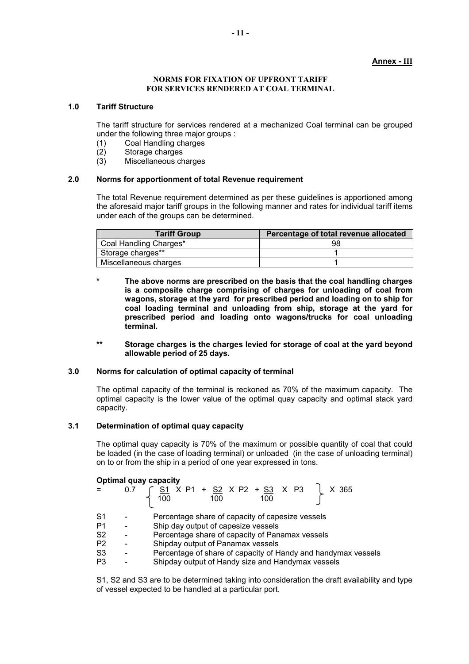# **Annex - III**

#### **NORMS FOR FIXATION OF UPFRONT TARIFF FOR SERVICES RENDERED AT COAL TERMINAL**

#### **1.0 Tariff Structure**

The tariff structure for services rendered at a mechanized Coal terminal can be grouped under the following three major groups :

- (1) Coal Handling charges
- (2) Storage charges
- (3) Miscellaneous charges

### **2.0 Norms for apportionment of total Revenue requirement**

The total Revenue requirement determined as per these guidelines is apportioned among the aforesaid major tariff groups in the following manner and rates for individual tariff items under each of the groups can be determined.

| <b>Tariff Group</b>    | Percentage of total revenue allocated |
|------------------------|---------------------------------------|
| Coal Handling Charges* | 98                                    |
| Storage charges**      |                                       |
| Miscellaneous charges  |                                       |

- **\* The above norms are prescribed on the basis that the coal handling charges is a composite charge comprising of charges for unloading of coal from wagons, storage at the yard for prescribed period and loading on to ship for coal loading terminal and unloading from ship, storage at the yard for prescribed period and loading onto wagons/trucks for coal unloading terminal.**
- **\*\* Storage charges is the charges levied for storage of coal at the yard beyond allowable period of 25 days.**

# **3.0 Norms for calculation of optimal capacity of terminal**

The optimal capacity of the terminal is reckoned as 70% of the maximum capacity. The optimal capacity is the lower value of the optimal quay capacity and optimal stack yard capacity.

### **3.1 Determination of optimal quay capacity**

The optimal quay capacity is 70% of the maximum or possible quantity of coal that could be loaded (in the case of loading terminal) or unloaded (in the case of unloading terminal) on to or from the ship in a period of one year expressed in tons.

#### **Optimal quay capacity**

|                | 0.7 | 5 <u>S1</u> X P1 + <u>S2</u> X P2 + <u>S3</u> X P3<br>X 365<br>100<br>100<br>100 |
|----------------|-----|----------------------------------------------------------------------------------|
| S <sub>1</sub> |     | Percentage share of capacity of capesize vessels                                 |
| P1             |     | Ship day output of capesize vessels                                              |
| S <sub>2</sub> |     | Percentage share of capacity of Panamax vessels                                  |
| P <sub>2</sub> |     | Shipday output of Panamax vessels                                                |
| S <sub>3</sub> |     | Percentage of share of capacity of Handy and handymax vessels                    |
| P3             |     | Shipday output of Handy size and Handymax vessels                                |
|                |     |                                                                                  |

S1, S2 and S3 are to be determined taking into consideration the draft availability and type of vessel expected to be handled at a particular port.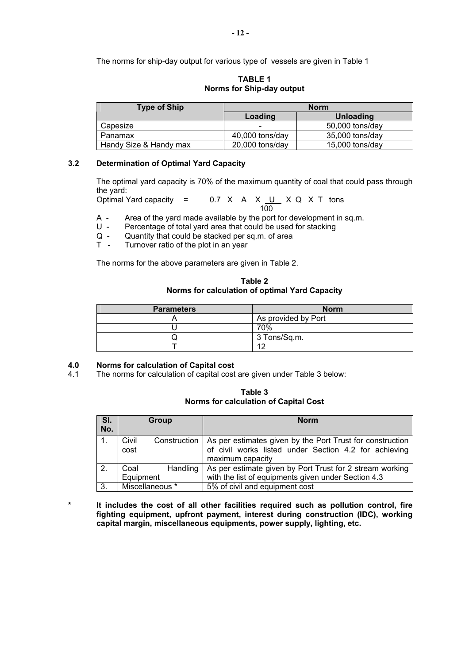The norms for ship-day output for various type of vessels are given in Table 1

**TABLE 1 Norms for Ship-day output** 

| <b>Type of Ship</b>    | <b>Norm</b>              |                 |
|------------------------|--------------------------|-----------------|
|                        | Loading                  | Unloading       |
| Capesize               | $\overline{\phantom{0}}$ | 50,000 tons/day |
| Panamax                | $40,000$ tons/day        | 35,000 tons/day |
| Handy Size & Handy max | $20,000$ tons/day        | 15,000 tons/day |

# **3.2 Determination of Optimal Yard Capacity**

The optimal yard capacity is 70% of the maximum quantity of coal that could pass through the yard:<br>Optimal Yard capacity  $=$ 

 $0.7$  X A X  $U$  X Q X T tons</u> <u>100</u>

- A Area of the yard made available by the port for development in sq.m.<br>U Percentage of total vard area that could be used for stacking
- Percentage of total yard area that could be used for stacking
- $Q -$  Quantity that could be stacked per sq.m. of area<br> $T -$  Turnover ratio of the plot in an year
- Turnover ratio of the plot in an year

The norms for the above parameters are given in Table 2.

**Table 2 Norms for calculation of optimal Yard Capacity** 

| <b>Parameters</b> | <b>Norm</b>         |
|-------------------|---------------------|
|                   | As provided by Port |
|                   | 70%                 |
|                   | 3 Tons/Sq.m.        |
|                   |                     |

# **4.0 Norms for calculation of Capital cost**

4.1 The norms for calculation of capital cost are given under Table 3 below:

**Table 3 Norms for calculation of Capital Cost** 

| SI. | Group            | <b>Norm</b>                                                              |
|-----|------------------|--------------------------------------------------------------------------|
| No. |                  |                                                                          |
|     | Civil            | Construction   As per estimates given by the Port Trust for construction |
|     | cost             | of civil works listed under Section 4.2 for achieving                    |
|     |                  | maximum capacity                                                         |
| 2.  | Handling<br>Coal | As per estimate given by Port Trust for 2 stream working                 |
|     | Equipment        | with the list of equipments given under Section 4.3                      |
| 3.  | Miscellaneous *  | 5% of civil and equipment cost                                           |

**\* It includes the cost of all other facilities required such as pollution control, fire fighting equipment, upfront payment, interest during construction (IDC), working capital margin, miscellaneous equipments, power supply, lighting, etc.**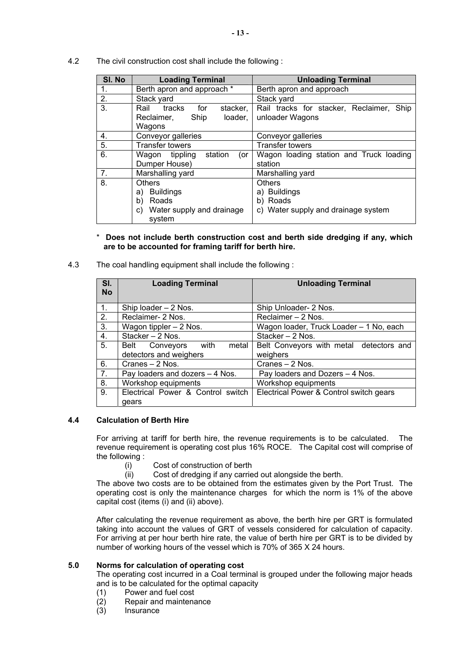4.2 The civil construction cost shall include the following :

| SI. No | <b>Loading Terminal</b>           | <b>Unloading Terminal</b>                |
|--------|-----------------------------------|------------------------------------------|
| 1.     | Berth apron and approach *        | Berth apron and approach                 |
| 2.     | Stack yard                        | Stack yard                               |
| 3.     | tracks<br>for<br>Rail<br>stacker, | Rail tracks for stacker, Reclaimer, Ship |
|        | Reclaimer,<br>loader,<br>Ship     | unloader Wagons                          |
|        | Wagons                            |                                          |
| 4.     | Conveyor galleries                | Conveyor galleries                       |
| -5.    | <b>Transfer towers</b>            | <b>Transfer towers</b>                   |
| 6.     | Wagon tippling<br>station<br>(or  | Wagon loading station and Truck loading  |
|        | Dumper House)                     | station                                  |
| 7.     | Marshalling yard                  | Marshalling yard                         |
| 8.     | <b>Others</b>                     | <b>Others</b>                            |
|        | Buildings<br>a)                   | a) Buildings                             |
|        | b)<br>Roads                       | b) Roads                                 |
|        | Water supply and drainage<br>C)   | c) Water supply and drainage system      |
|        | system                            |                                          |

# \* **Does not include berth construction cost and berth side dredging if any, which are to be accounted for framing tariff for berth hire.**

4.3 The coal handling equipment shall include the following :

| SI.<br><b>No</b> | <b>Loading Terminal</b>           | <b>Unloading Terminal</b>               |
|------------------|-----------------------------------|-----------------------------------------|
|                  |                                   |                                         |
| 1 <sub>1</sub>   | Ship loader - 2 Nos.              | Ship Unloader- 2 Nos.                   |
| 2.               | Reclaimer- 2 Nos.                 | Reclaimer - 2 Nos.                      |
| 3.               | Wagon tippler $-2$ Nos.           | Wagon loader, Truck Loader - 1 No, each |
| 4.               | Stacker - 2 Nos.                  | Stacker - 2 Nos.                        |
| 5.               | Belt Conveyors with<br>metal      | Belt Conveyors with metal detectors and |
|                  | detectors and weighers            | weighers                                |
| 6.               | Cranes - 2 Nos.                   | Cranes - 2 Nos.                         |
| 7.               | Pay loaders and dozers - 4 Nos.   | Pay loaders and Dozers - 4 Nos.         |
| 8.               | Workshop equipments               | Workshop equipments                     |
| 9.               | Electrical Power & Control switch | Electrical Power & Control switch gears |
|                  | gears                             |                                         |

# **4.4 Calculation of Berth Hire**

For arriving at tariff for berth hire, the revenue requirements is to be calculated. The revenue requirement is operating cost plus 16% ROCE. The Capital cost will comprise of the following :

- (i) Cost of construction of berth
- (ii) Cost of dredging if any carried out alongside the berth.

The above two costs are to be obtained from the estimates given by the Port Trust. The operating cost is only the maintenance charges for which the norm is 1% of the above capital cost (items (i) and (ii) above).

After calculating the revenue requirement as above, the berth hire per GRT is formulated taking into account the values of GRT of vessels considered for calculation of capacity. For arriving at per hour berth hire rate, the value of berth hire per GRT is to be divided by number of working hours of the vessel which is 70% of 365 X 24 hours.

# **5.0 Norms for calculation of operating cost**

The operating cost incurred in a Coal terminal is grouped under the following major heads and is to be calculated for the optimal capacity

- (1) Power and fuel cost
- $(2)$  Repair and maintenance<br> $(3)$  Insurance
- Insurance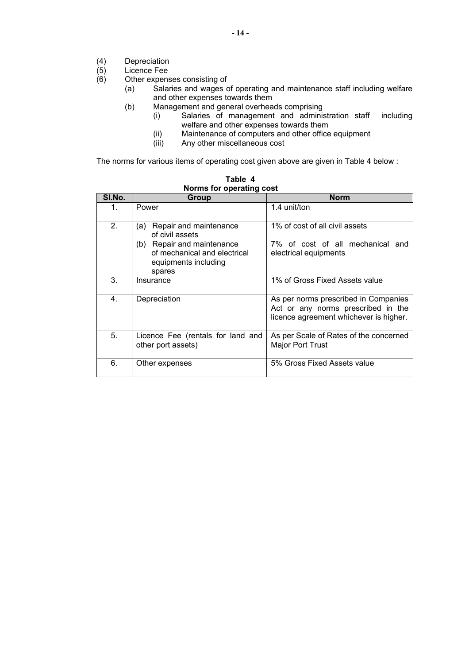- (4) Depreciation<br>(5) Licence Fee<br>(6) Other expens
- Licence Fee
- Other expenses consisting of
	- (a) Salaries and wages of operating and maintenance staff including welfare and other expenses towards them
	- (b) Management and general overheads comprising
		- (i) Salaries of management and administration staff including welfare and other expenses towards them
			- (ii) Maintenance of computers and other office equipment<br>(iii) Any other miscellaneous cost
		- Any other miscellaneous cost

The norms for various items of operating cost given above are given in Table 4 below :

|         | <b>NOTING TOP OPCRETTLY COST</b>                                                                                                                 |                                                                                                                      |
|---------|--------------------------------------------------------------------------------------------------------------------------------------------------|----------------------------------------------------------------------------------------------------------------------|
| SI.No.  | Group                                                                                                                                            | <b>Norm</b>                                                                                                          |
| $1_{-}$ | Power                                                                                                                                            | 1.4 unit/ton                                                                                                         |
| 2.      | Repair and maintenance<br>(a)<br>of civil assets<br>(b) Repair and maintenance<br>of mechanical and electrical<br>equipments including<br>spares | 1% of cost of all civil assets<br>7% of cost of all mechanical and<br>electrical equipments                          |
| 3.      | Insurance                                                                                                                                        | 1% of Gross Fixed Assets value                                                                                       |
| 4.      | Depreciation                                                                                                                                     | As per norms prescribed in Companies<br>Act or any norms prescribed in the<br>licence agreement whichever is higher. |
| 5.      | Licence Fee (rentals for land and<br>other port assets)                                                                                          | As per Scale of Rates of the concerned<br><b>Major Port Trust</b>                                                    |
| 6.      | Other expenses                                                                                                                                   | 5% Gross Fixed Assets value                                                                                          |

**Table 4 Norms for operating cost**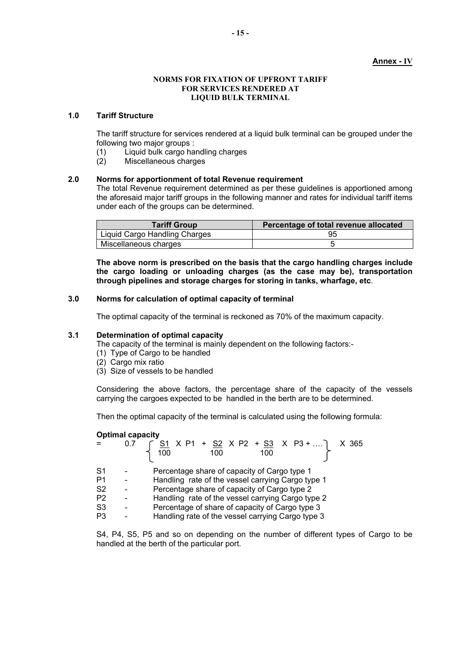#### **Annex - IV**

#### **NORMS FOR FIXATION OF UPFRONT TARIFF FOR SERVICES RENDERED AT LIQUID BULK TERMINAL**

# **1.0 Tariff Structure**

The tariff structure for services rendered at a liquid bulk terminal can be grouped under the following two major groups :

- (1) Liquid bulk cargo handling charges
- Miscellaneous charges

# **2.0 Norms for apportionment of total Revenue requirement**

The total Revenue requirement determined as per these guidelines is apportioned among the aforesaid major tariff groups in the following manner and rates for individual tariff items under each of the groups can be determined.

| <b>Tariff Group</b>           | Percentage of total revenue allocated |
|-------------------------------|---------------------------------------|
| Liquid Cargo Handling Charges |                                       |
| Miscellaneous charges         |                                       |

**The above norm is prescribed on the basis that the cargo handling charges include the cargo loading or unloading charges (as the case may be), transportation through pipelines and storage charges for storing in tanks, wharfage, etc**.

# **3.0 Norms for calculation of optimal capacity of terminal**

The optimal capacity of the terminal is reckoned as 70% of the maximum capacity.

# **3.1 Determination of optimal capacity**

The capacity of the terminal is mainly dependent on the following factors:-

- (1) Type of Cargo to be handled
- (2) Cargo mix ratio
- (3) Size of vessels to be handled

Considering the above factors, the percentage share of the capacity of the vessels carrying the cargoes expected to be handled in the berth are to be determined.

Then the optimal capacity of the terminal is calculated using the following formula:

#### **Optimal capacity**

|                | 0.7 $\begin{array}{ c c c c c c }\n\hline\n8.7 & 51 & X & P1 + 52 & X & P2 + 53 & X & P3 +  & X & 365 \\ \hline\n1 & 100 & 100 & 100 & 100 & \hline\n\end{array}$ |
|----------------|-------------------------------------------------------------------------------------------------------------------------------------------------------------------|
| S <sub>1</sub> | Percentage share of capacity of Cargo type 1                                                                                                                      |
| P1             | Handling rate of the vessel carrying Cargo type 1                                                                                                                 |
| S <sub>2</sub> | Percentage share of capacity of Cargo type 2                                                                                                                      |
| P <sub>2</sub> | Handling rate of the vessel carrying Cargo type 2                                                                                                                 |
| S <sub>3</sub> | Percentage of share of capacity of Cargo type 3                                                                                                                   |
| P <sub>3</sub> | Handling rate of the vessel carrying Cargo type 3                                                                                                                 |
|                |                                                                                                                                                                   |

S4, P4, S5, P5 and so on depending on the number of different types of Cargo to be handled at the berth of the particular port.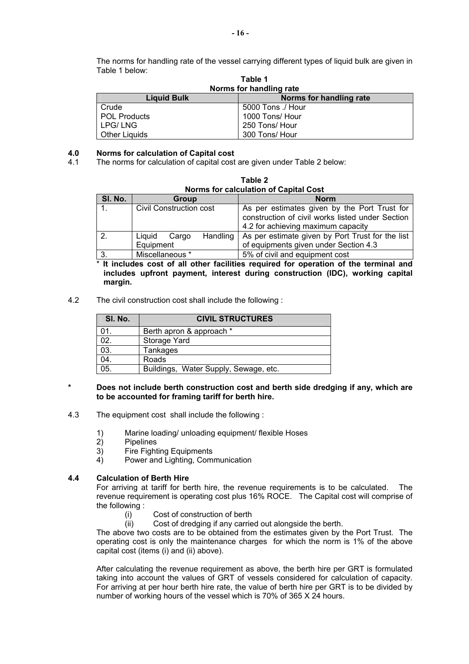The norms for handling rate of the vessel carrying different types of liquid bulk are given in Table 1 below: **Table 1** 

| rable i<br>Norms for handling rate            |                   |  |
|-----------------------------------------------|-------------------|--|
| Norms for handling rate<br><b>Liquid Bulk</b> |                   |  |
| Crude                                         | 5000 Tons ./ Hour |  |
| POL Products                                  | 1000 Tons/ Hour   |  |
| LPG/LNG                                       | 250 Tons/ Hour    |  |
| <b>Other Liquids</b>                          | 300 Tons/ Hour    |  |

# **4.0 Norms for calculation of Capital cost**

The norms for calculation of capital cost are given under Table 2 below:

| Norms for calculation of Capital Cost |                                          |                                                                                                                                        |  |
|---------------------------------------|------------------------------------------|----------------------------------------------------------------------------------------------------------------------------------------|--|
| SI. No.                               | Group                                    | <b>Norm</b>                                                                                                                            |  |
|                                       | Civil Construction cost                  | As per estimates given by the Port Trust for<br>construction of civil works listed under Section<br>4.2 for achieving maximum capacity |  |
| $\overline{2}$                        | Handling<br>Liquid<br>Cargo<br>Equipment | As per estimate given by Port Trust for the list<br>of equipments given under Section 4.3                                              |  |
| 3.                                    | Miscellaneous *                          | 5% of civil and equipment cost                                                                                                         |  |

**Table 2** 

It includes cost of all other facilities required for operation of the terminal and **includes upfront payment, interest during construction (IDC), working capital margin.** 

4.2 The civil construction cost shall include the following :

| SI. No. | <b>CIVIL STRUCTURES</b>               |  |
|---------|---------------------------------------|--|
| 01.     | Berth apron & approach *              |  |
| 02.     | Storage Yard                          |  |
| 03.     | Tankages                              |  |
| 04.     | Roads                                 |  |
| 05.     | Buildings, Water Supply, Sewage, etc. |  |

- **\* Does not include berth construction cost and berth side dredging if any, which are to be accounted for framing tariff for berth hire.**
- 4.3 The equipment cost shall include the following :
	- 1) Marine loading/ unloading equipment/ flexible Hoses<br>2) Pipelines
	- **Pipelines**
	- 3) Fire Fighting Equipments
	- 4) Power and Lighting, Communication

# **4.4 Calculation of Berth Hire**

For arriving at tariff for berth hire, the revenue requirements is to be calculated. The revenue requirement is operating cost plus 16% ROCE. The Capital cost will comprise of the following :

- (i) Cost of construction of berth
- (ii) Cost of dredging if any carried out alongside the berth.

The above two costs are to be obtained from the estimates given by the Port Trust. The operating cost is only the maintenance charges for which the norm is 1% of the above capital cost (items (i) and (ii) above).

After calculating the revenue requirement as above, the berth hire per GRT is formulated taking into account the values of GRT of vessels considered for calculation of capacity. For arriving at per hour berth hire rate, the value of berth hire per GRT is to be divided by number of working hours of the vessel which is 70% of 365 X 24 hours.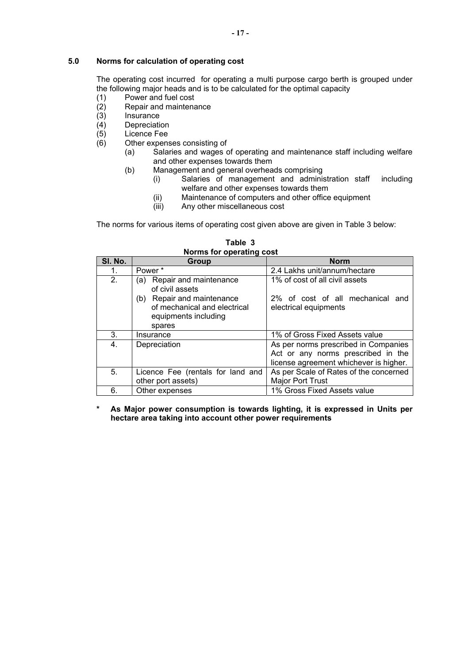# **5.0 Norms for calculation of operating cost**

The operating cost incurred for operating a multi purpose cargo berth is grouped under the following major heads and is to be calculated for the optimal capacity

- (1) Power and fuel cost
- (2) Repair and maintenance
- **Insurance**
- (4) Depreciation<br>(5) Licence Fee
- $(5)$  Licence Fee<br> $(6)$  Other expens
- Other expenses consisting of
	- (a) Salaries and wages of operating and maintenance staff including welfare and other expenses towards them
	- (b) Management and general overheads comprising
		- (i) Salaries of management and administration staff including welfare and other expenses towards them
		- (ii) Maintenance of computers and other office equipment
		- (iii) Any other miscellaneous cost

The norms for various items of operating cost given above are given in Table 3 below:

| SI. No. | Group                                                                             | <b>Norm</b>                                                                  |
|---------|-----------------------------------------------------------------------------------|------------------------------------------------------------------------------|
| 1.      | Power*                                                                            | 2.4 Lakhs unit/annum/hectare                                                 |
| 2.      | Repair and maintenance<br>(a)<br>of civil assets<br>Repair and maintenance<br>(b) | 1% of cost of all civil assets<br>2% of cost of all mechanical and           |
|         | of mechanical and electrical<br>equipments including<br>spares                    | electrical equipments                                                        |
| 3.      | Insurance                                                                         | 1% of Gross Fixed Assets value                                               |
| 4.      | Depreciation                                                                      | As per norms prescribed in Companies                                         |
|         |                                                                                   | Act or any norms prescribed in the<br>license agreement whichever is higher. |
| 5.      | Licence Fee (rentals for land and                                                 | As per Scale of Rates of the concerned                                       |
|         | other port assets)                                                                | Major Port Trust                                                             |
| 6.      | Other expenses                                                                    | 1% Gross Fixed Assets value                                                  |

**Table 3 Norms for operating cost**

**\* As Major power consumption is towards lighting, it is expressed in Units per hectare area taking into account other power requirements**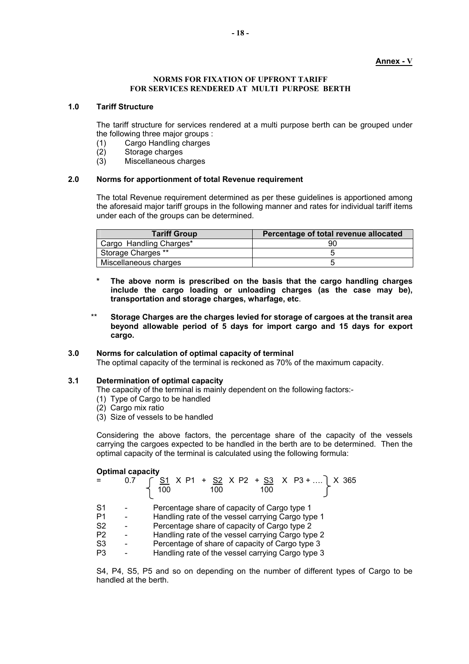# **Annex - V**

#### **NORMS FOR FIXATION OF UPFRONT TARIFF FOR SERVICES RENDERED AT MULTI PURPOSE BERTH**

#### **1.0 Tariff Structure**

The tariff structure for services rendered at a multi purpose berth can be grouped under the following three major groups :

- (1) Cargo Handling charges
- (2) Storage charges
- (3) Miscellaneous charges

### **2.0 Norms for apportionment of total Revenue requirement**

The total Revenue requirement determined as per these guidelines is apportioned among the aforesaid major tariff groups in the following manner and rates for individual tariff items under each of the groups can be determined.

| <b>Tariff Group</b>     | Percentage of total revenue allocated |
|-------------------------|---------------------------------------|
| Cargo Handling Charges* | 90                                    |
| Storage Charges **      |                                       |
| Miscellaneous charges   |                                       |

- **\* The above norm is prescribed on the basis that the cargo handling charges include the cargo loading or unloading charges (as the case may be), transportation and storage charges, wharfage, etc**.
- \*\* **Storage Charges are the charges levied for storage of cargoes at the transit area beyond allowable period of 5 days for import cargo and 15 days for export cargo.**

### **3.0 Norms for calculation of optimal capacity of terminal**

The optimal capacity of the terminal is reckoned as 70% of the maximum capacity.

### **3.1 Determination of optimal capacity**

The capacity of the terminal is mainly dependent on the following factors:-

- (1) Type of Cargo to be handled
- (2) Cargo mix ratio
- (3) Size of vessels to be handled

Considering the above factors, the percentage share of the capacity of the vessels carrying the cargoes expected to be handled in the berth are to be determined. Then the optimal capacity of the terminal is calculated using the following formula:

#### **Optimal capacity**

|                | 0.7 | $\begin{cases} 51 \times P1 + 52 \times P2 + 53 \times P3 +  \ 100 \end{cases}$ X 365 |
|----------------|-----|---------------------------------------------------------------------------------------|
| S1             |     | Percentage share of capacity of Cargo type 1                                          |
| P1             |     | Handling rate of the vessel carrying Cargo type 1                                     |
| S <sub>2</sub> |     | Percentage share of capacity of Cargo type 2                                          |
| P <sub>2</sub> |     | Handling rate of the vessel carrying Cargo type 2                                     |
| S <sub>3</sub> |     | Percentage of share of capacity of Cargo type 3                                       |
| P3             |     | Handling rate of the vessel carrying Cargo type 3                                     |

S4, P4, S5, P5 and so on depending on the number of different types of Cargo to be handled at the berth.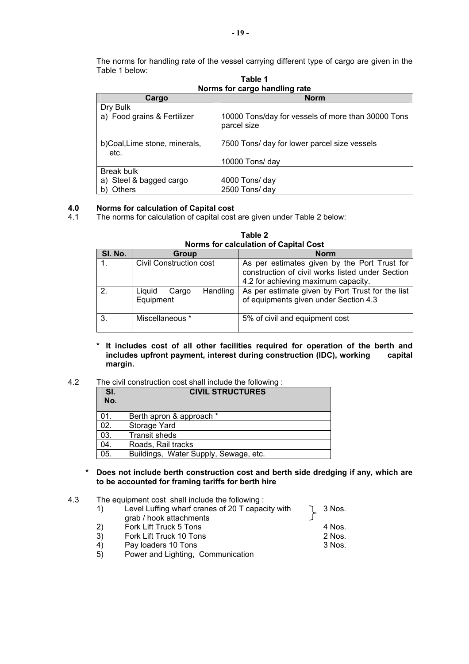The norms for handling rate of the vessel carrying different type of cargo are given in the Table 1 below:

| <b>ROTTIS TOT Cargo Handling Tate</b>                         |                                                                   |  |
|---------------------------------------------------------------|-------------------------------------------------------------------|--|
| Cargo                                                         | <b>Norm</b>                                                       |  |
| Dry Bulk<br>a) Food grains & Fertilizer                       | 10000 Tons/day for vessels of more than 30000 Tons<br>parcel size |  |
| b)Coal,Lime stone, minerals,<br>etc.                          | 7500 Tons/ day for lower parcel size vessels<br>10000 Tons/ day   |  |
| <b>Break bulk</b><br>a) Steel & bagged cargo<br><b>Others</b> | 4000 Tons/ day<br>2500 Tons/ day                                  |  |

**Table 1 Norms for cargo handling rate** 

# **4.0 Norms for calculation of Capital cost**

4.1 The norms for calculation of capital cost are given under Table 2 below:

| Norms for calculation of Capital Cost |                                          |                                                                                                                                         |  |
|---------------------------------------|------------------------------------------|-----------------------------------------------------------------------------------------------------------------------------------------|--|
| SI. No.                               | <b>Group</b>                             | <b>Norm</b>                                                                                                                             |  |
| $\mathbf{1}$ .                        | Civil Construction cost                  | As per estimates given by the Port Trust for<br>construction of civil works listed under Section<br>4.2 for achieving maximum capacity. |  |
| 2.                                    | Handling<br>Liquid<br>Cargo<br>Equipment | As per estimate given by Port Trust for the list<br>of equipments given under Section 4.3                                               |  |
| 3.                                    | Miscellaneous *                          | 5% of civil and equipment cost                                                                                                          |  |

**Table 2 Norms for calculation of Capital Cost** 

**\* It includes cost of all other facilities required for operation of the berth and**  includes upfront payment, interest during construction (IDC), working **margin.** 

# 4.2 The civil construction cost shall include the following :

| SI. | <b>CIVIL STRUCTURES</b>               |  |
|-----|---------------------------------------|--|
| No. |                                       |  |
| 01. | Berth apron & approach *              |  |
| 02. | Storage Yard                          |  |
| 03. | <b>Transit sheds</b>                  |  |
| 04. | Roads, Rail tracks                    |  |
| 05. | Buildings, Water Supply, Sewage, etc. |  |

# **\* Does not include berth construction cost and berth side dredging if any, which are to be accounted for framing tariffs for berth hire**

# 4.3 The equipment cost shall include the following :

|    | Level Luffing wharf cranes of 20 T capacity with | 3 Nos. |
|----|--------------------------------------------------|--------|
|    | grab / hook attachments                          |        |
| 2) | Fork Lift Truck 5 Tons                           | 4 Nos. |
| 3) | Fork Lift Truck 10 Tons                          | 2 Nos. |
| 4) | Pay loaders 10 Tons                              | 3 Nos. |
| 5) | Power and Lighting, Communication                |        |